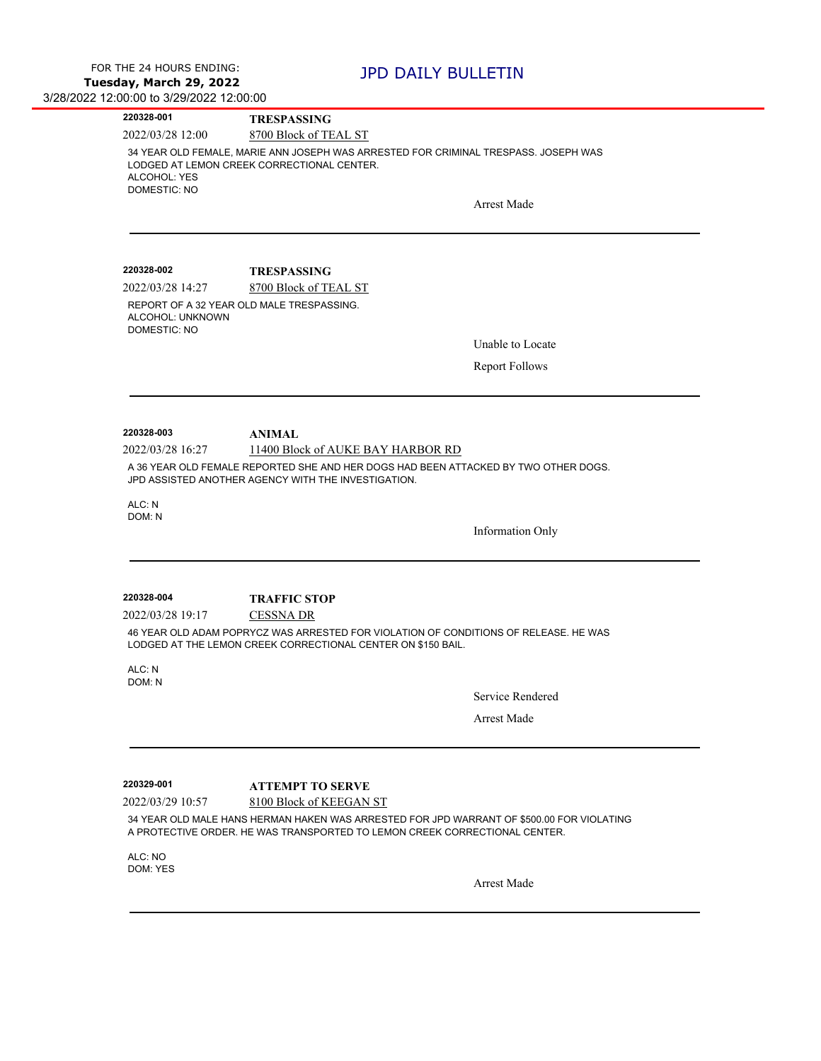| 220328-001                          | <b>TRESPASSING</b>                                                                                                                                                                                 |  |  |
|-------------------------------------|----------------------------------------------------------------------------------------------------------------------------------------------------------------------------------------------------|--|--|
| 2022/03/28 12:00                    | 8700 Block of TEAL ST                                                                                                                                                                              |  |  |
| ALCOHOL: YES<br><b>DOMESTIC: NO</b> | 34 YEAR OLD FEMALE, MARIE ANN JOSEPH WAS ARRESTED FOR CRIMINAL TRESPASS. JOSEPH WAS<br>LODGED AT LEMON CREEK CORRECTIONAL CENTER.                                                                  |  |  |
|                                     | <b>Arrest Made</b>                                                                                                                                                                                 |  |  |
|                                     |                                                                                                                                                                                                    |  |  |
| 220328-002                          | <b>TRESPASSING</b>                                                                                                                                                                                 |  |  |
| 2022/03/28 14:27                    | 8700 Block of TEAL ST                                                                                                                                                                              |  |  |
| ALCOHOL: UNKNOWN<br>DOMESTIC: NO    | REPORT OF A 32 YEAR OLD MALE TRESPASSING.                                                                                                                                                          |  |  |
|                                     | Unable to Locate                                                                                                                                                                                   |  |  |
|                                     | <b>Report Follows</b>                                                                                                                                                                              |  |  |
|                                     |                                                                                                                                                                                                    |  |  |
| 220328-003                          | <b>ANIMAL</b>                                                                                                                                                                                      |  |  |
| 2022/03/28 16:27                    | 11400 Block of AUKE BAY HARBOR RD                                                                                                                                                                  |  |  |
|                                     | A 36 YEAR OLD FEMALE REPORTED SHE AND HER DOGS HAD BEEN ATTACKED BY TWO OTHER DOGS.<br>JPD ASSISTED ANOTHER AGENCY WITH THE INVESTIGATION.                                                         |  |  |
| ALC: N                              |                                                                                                                                                                                                    |  |  |
| DOM: N                              | <b>Information Only</b>                                                                                                                                                                            |  |  |
|                                     |                                                                                                                                                                                                    |  |  |
|                                     |                                                                                                                                                                                                    |  |  |
| 220328-004                          | <b>TRAFFIC STOP</b>                                                                                                                                                                                |  |  |
| 2022/03/28 19:17                    | <b>CESSNA DR</b><br>46 YEAR OLD ADAM POPRYCZ WAS ARRESTED FOR VIOLATION OF CONDITIONS OF RELEASE. HE WAS                                                                                           |  |  |
|                                     | LODGED AT THE LEMON CREEK CORRECTIONAL CENTER ON \$150 BAIL.                                                                                                                                       |  |  |
| ALC: N<br>DOM: N                    |                                                                                                                                                                                                    |  |  |
|                                     | Service Rendered                                                                                                                                                                                   |  |  |
|                                     | <b>Arrest Made</b>                                                                                                                                                                                 |  |  |
|                                     |                                                                                                                                                                                                    |  |  |
| 220329-001                          | <b>ATTEMPT TO SERVE</b>                                                                                                                                                                            |  |  |
| 2022/03/29 10:57                    | 8100 Block of KEEGAN ST<br>34 YEAR OLD MALE HANS HERMAN HAKEN WAS ARRESTED FOR JPD WARRANT OF \$500.00 FOR VIOLATING<br>A PROTECTIVE ORDER. HE WAS TRANSPORTED TO LEMON CREEK CORRECTIONAL CENTER. |  |  |
| ALC: NO<br>DOM: YES                 |                                                                                                                                                                                                    |  |  |
|                                     | <b>Arrest Made</b>                                                                                                                                                                                 |  |  |
|                                     |                                                                                                                                                                                                    |  |  |